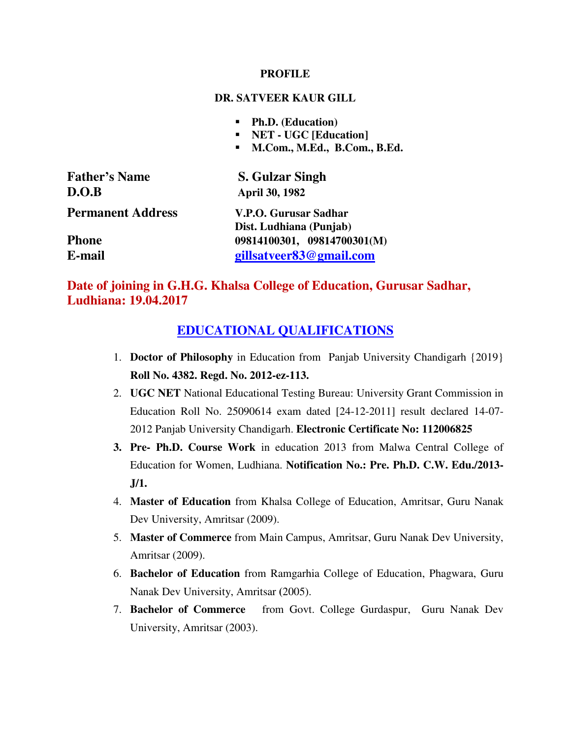#### **PROFILE**

#### **DR. SATVEER KAUR GILL**

- **Ph.D. (Education)**
- **NET UGC [Education]**
- **M.Com., M.Ed., B.Com., B.Ed.**

| <b>Father's Name</b>     | <b>S. Gulzar Singh</b>                           |
|--------------------------|--------------------------------------------------|
| D.O.B                    | <b>April 30, 1982</b>                            |
| <b>Permanent Address</b> | V.P.O. Gurusar Sadhar<br>Dist. Ludhiana (Punjab) |
| <b>Phone</b>             | 09814100301, 09814700301(M)                      |
| E-mail                   | gillsatveer83@gmail.com                          |

## **Date of joining in G.H.G. Khalsa College of Education, Gurusar Sadhar, Ludhiana: 19.04.2017**

## **EDUCATIONAL QUALIFICATIONS**

- 1. **Doctor of Philosophy** in Education from Panjab University Chandigarh {2019} **Roll No. 4382. Regd. No. 2012-ez-113.**
- 2. **UGC NET** National Educational Testing Bureau: University Grant Commission in Education Roll No. 25090614 exam dated [24-12-2011] result declared 14-07- 2012 Panjab University Chandigarh. **Electronic Certificate No: 112006825**
- **3. Pre- Ph.D. Course Work** in education 2013 from Malwa Central College of Education for Women, Ludhiana. **Notification No.: Pre. Ph.D. C.W. Edu./2013- J/1.**
- 4. **Master of Education** from Khalsa College of Education, Amritsar, Guru Nanak Dev University, Amritsar (2009).
- 5. **Master of Commerce** from Main Campus, Amritsar, Guru Nanak Dev University, Amritsar (2009).
- 6. **Bachelor of Education** from Ramgarhia College of Education, Phagwara, Guru Nanak Dev University, Amritsar **(**2005).
- 7. **Bachelor of Commerce** from Govt. College Gurdaspur, Guru Nanak Dev University, Amritsar (2003).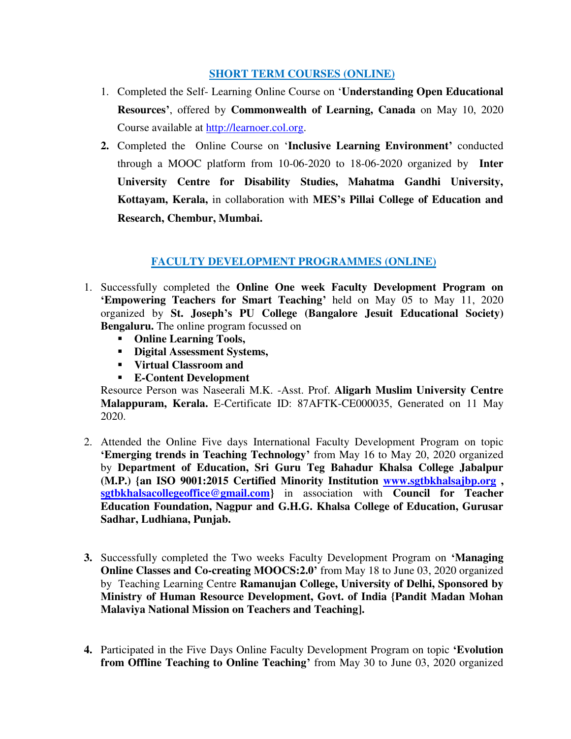#### **SHORT TERM COURSES (ONLINE)**

- 1. Completed the Self- Learning Online Course on '**Understanding Open Educational Resources'**, offered by **Commonwealth of Learning, Canada** on May 10, 2020 Course available at [http://learnoer.col.org.](http://learnoer.col.org/)
- **2.** Completed the Online Course on '**Inclusive Learning Environment'** conducted through a MOOC platform from 10-06-2020 to 18-06-2020 organized by **Inter University Centre for Disability Studies, Mahatma Gandhi University, Kottayam, Kerala,** in collaboration with **MES's Pillai College of Education and Research, Chembur, Mumbai.**

#### **FACULTY DEVELOPMENT PROGRAMMES (ONLINE)**

- 1. Successfully completed the **Online One week Faculty Development Program on 'Empowering Teachers for Smart Teaching'** held on May 05 to May 11, 2020 organized by **St. Joseph's PU College (Bangalore Jesuit Educational Society) Bengaluru.** The online program focussed on
	- **Online Learning Tools,**
	- **Digital Assessment Systems,**
	- **Virtual Classroom and**
	- **E-Content Development**

Resource Person was Naseerali M.K. -Asst. Prof. **Aligarh Muslim University Centre Malappuram, Kerala.** E-Certificate ID: 87AFTK-CE000035, Generated on 11 May 2020.

- 2. Attended the Online Five days International Faculty Development Program on topic **'Emerging trends in Teaching Technology'** from May 16 to May 20, 2020 organized by **Department of Education, Sri Guru Teg Bahadur Khalsa College Jabalpur (M.P.) {an ISO 9001:2015 Certified Minority Institution [www.sgtbkhalsajbp.org](http://www.sgtbkhalsajbp.org/) , [sgtbkhalsacollegeoffice@gmail.com}](mailto:sgtbkhalsacollegeoffice@gmail.com)** in association with **Council for Teacher Education Foundation, Nagpur and G.H.G. Khalsa College of Education, Gurusar Sadhar, Ludhiana, Punjab.**
- **3.** Successfully completed the Two weeks Faculty Development Program on **'Managing Online Classes and Co-creating MOOCS:2.0'** from May 18 to June 03, 2020 organized by Teaching Learning Centre **Ramanujan College, University of Delhi, Sponsored by Ministry of Human Resource Development, Govt. of India {Pandit Madan Mohan Malaviya National Mission on Teachers and Teaching].**
- **4.** Participated in the Five Days Online Faculty Development Program on topic **'Evolution from Offline Teaching to Online Teaching'** from May 30 to June 03, 2020 organized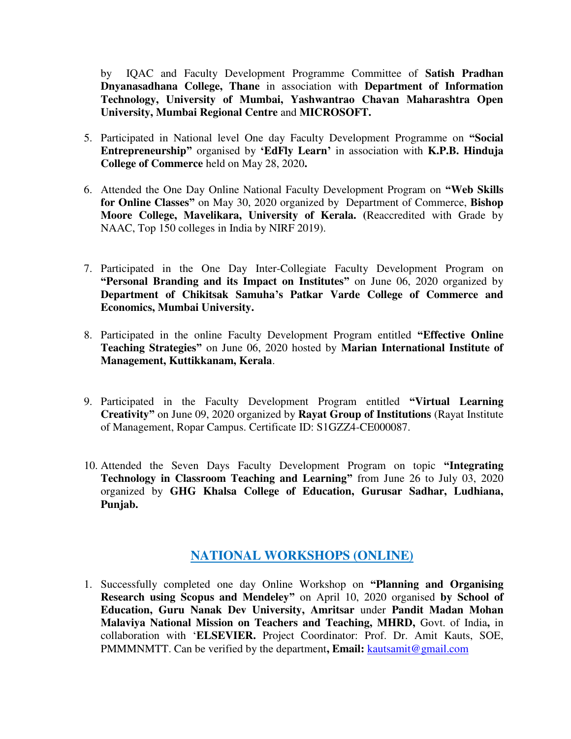by IQAC and Faculty Development Programme Committee of **Satish Pradhan Dnyanasadhana College, Thane** in association with **Department of Information Technology, University of Mumbai, Yashwantrao Chavan Maharashtra Open University, Mumbai Regional Centre** and **MICROSOFT.** 

- 5. Participated in National level One day Faculty Development Programme on **"Social Entrepreneurship"** organised by **'EdFly Learn'** in association with **K.P.B. Hinduja College of Commerce** held on May 28, 2020**.**
- 6. Attended the One Day Online National Faculty Development Program on **"Web Skills for Online Classes"** on May 30, 2020 organized by Department of Commerce, **Bishop Moore College, Mavelikara, University of Kerala. (**Reaccredited with Grade by NAAC, Top 150 colleges in India by NIRF 2019).
- 7. Participated in the One Day Inter-Collegiate Faculty Development Program on **"Personal Branding and its Impact on Institutes"** on June 06, 2020 organized by **Department of Chikitsak Samuha's Patkar Varde College of Commerce and Economics, Mumbai University.**
- 8. Participated in the online Faculty Development Program entitled **"Effective Online Teaching Strategies"** on June 06, 2020 hosted by **Marian International Institute of Management, Kuttikkanam, Kerala**.
- 9. Participated in the Faculty Development Program entitled **"Virtual Learning Creativity"** on June 09, 2020 organized by **Rayat Group of Institutions** (Rayat Institute of Management, Ropar Campus. Certificate ID: S1GZZ4-CE000087.
- 10. Attended the Seven Days Faculty Development Program on topic **"Integrating Technology in Classroom Teaching and Learning"** from June 26 to July 03, 2020 organized by **GHG Khalsa College of Education, Gurusar Sadhar, Ludhiana, Punjab.**

## **NATIONAL WORKSHOPS (ONLINE)**

1. Successfully completed one day Online Workshop on **"Planning and Organising Research using Scopus and Mendeley"** on April 10, 2020 organised **by School of Education, Guru Nanak Dev University, Amritsar** under **Pandit Madan Mohan Malaviya National Mission on Teachers and Teaching, MHRD,** Govt. of India**,** in collaboration with '**ELSEVIER.** Project Coordinator: Prof. Dr. Amit Kauts, SOE, PMMMNMTT. Can be verified by the department**, Email:** [kautsamit@gmail.com](mailto:kautsamit@gmail.com)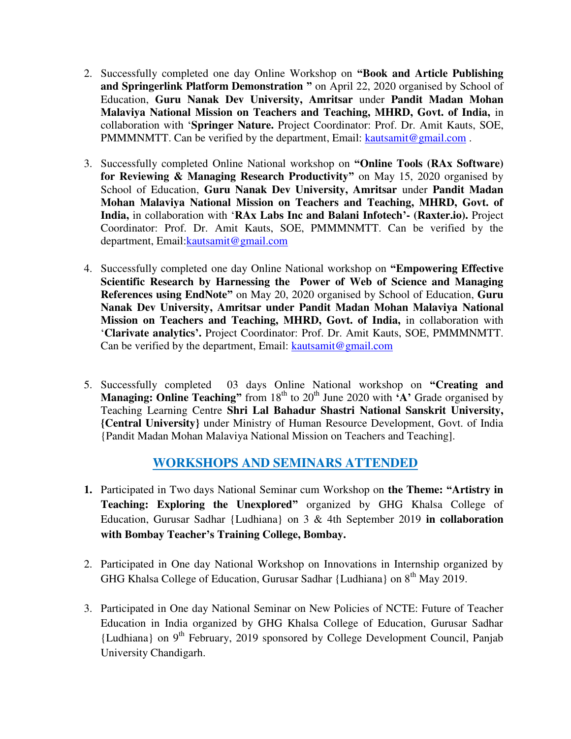- 2. Successfully completed one day Online Workshop on **"Book and Article Publishing and Springerlink Platform Demonstration "** on April 22, 2020 organised by School of Education, **Guru Nanak Dev University, Amritsar** under **Pandit Madan Mohan Malaviya National Mission on Teachers and Teaching, MHRD, Govt. of India,** in collaboration with '**Springer Nature.** Project Coordinator: Prof. Dr. Amit Kauts, SOE, PMMMNMTT. Can be verified by the department, Email: kautsamit@gmail.com.
- 3. Successfully completed Online National workshop on **"Online Tools (RAx Software) for Reviewing & Managing Research Productivity"** on May 15, 2020 organised by School of Education, **Guru Nanak Dev University, Amritsar** under **Pandit Madan Mohan Malaviya National Mission on Teachers and Teaching, MHRD, Govt. of India,** in collaboration with '**RAx Labs Inc and Balani Infotech'- (Raxter.io).** Project Coordinator: Prof. Dr. Amit Kauts, SOE, PMMMNMTT. Can be verified by the department, Email: kautsamit@gmail.com
- 4. Successfully completed one day Online National workshop on **"Empowering Effective Scientific Research by Harnessing the Power of Web of Science and Managing References using EndNote"** on May 20, 2020 organised by School of Education, **Guru Nanak Dev University, Amritsar under Pandit Madan Mohan Malaviya National Mission on Teachers and Teaching, MHRD, Govt. of India,** in collaboration with '**Clarivate analytics'.** Project Coordinator: Prof. Dr. Amit Kauts, SOE, PMMMNMTT. Can be verified by the department, Email: [kautsamit@gmail.com](mailto:kautsamit@gmail.com)
- 5. Successfully completed 03 days Online National workshop on **"Creating and Managing: Online Teaching**<sup>"</sup> from  $18<sup>th</sup>$  to  $20<sup>th</sup>$  June 2020 with  $\bf{A}$ <sup>\*</sup> Grade organised by Teaching Learning Centre **Shri Lal Bahadur Shastri National Sanskrit University, {Central University}** under Ministry of Human Resource Development, Govt. of India {Pandit Madan Mohan Malaviya National Mission on Teachers and Teaching].

## **WORKSHOPS AND SEMINARS ATTENDED**

- **1.** Participated in Two days National Seminar cum Workshop on **the Theme: "Artistry in Teaching: Exploring the Unexplored"** organized by GHG Khalsa College of Education, Gurusar Sadhar {Ludhiana} on 3 & 4th September 2019 **in collaboration with Bombay Teacher's Training College, Bombay.**
- 2. Participated in One day National Workshop on Innovations in Internship organized by GHG Khalsa College of Education, Gurusar Sadhar {Ludhiana} on 8<sup>th</sup> May 2019.
- 3. Participated in One day National Seminar on New Policies of NCTE: Future of Teacher Education in India organized by GHG Khalsa College of Education, Gurusar Sadhar  ${Ludhiana}$  on 9<sup>th</sup> February, 2019 sponsored by College Development Council, Panjab University Chandigarh.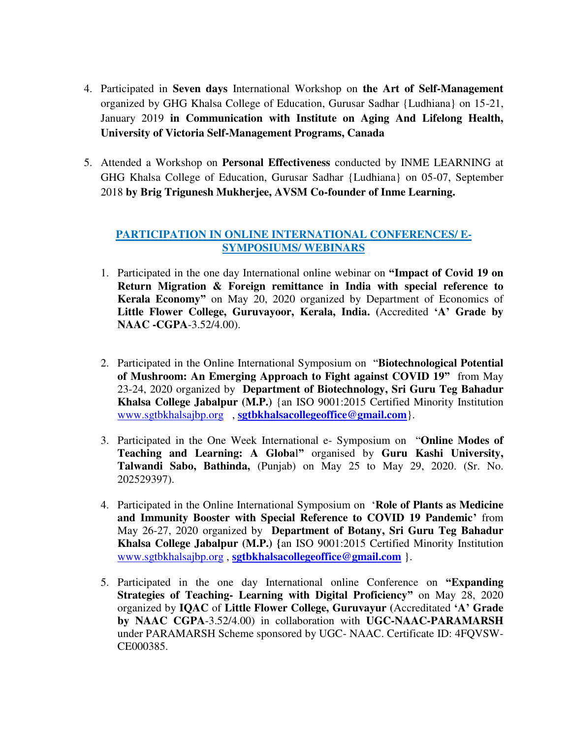- 4. Participated in **Seven days** International Workshop on **the Art of Self-Management**  organized by GHG Khalsa College of Education, Gurusar Sadhar {Ludhiana} on 15-21, January 2019 **in Communication with Institute on Aging And Lifelong Health, University of Victoria Self-Management Programs, Canada**
- 5. Attended a Workshop on **Personal Effectiveness** conducted by INME LEARNING at GHG Khalsa College of Education, Gurusar Sadhar {Ludhiana} on 05-07, September 2018 **by Brig Trigunesh Mukherjee, AVSM Co-founder of Inme Learning.**

#### **PARTICIPATION IN ONLINE INTERNATIONAL CONFERENCES/ E-SYMPOSIUMS/ WEBINARS**

- 1. Participated in the one day International online webinar on **"Impact of Covid 19 on Return Migration & Foreign remittance in India with special reference to Kerala Economy"** on May 20, 2020 organized by Department of Economics of **Little Flower College, Guruvayoor, Kerala, India. (**Accredited **'A' Grade by NAAC -CGPA**-3.52/4.00).
- 2. Participated in the Online International Symposium on "**Biotechnological Potential of Mushroom: An Emerging Approach to Fight against COVID 19"** from May 23-24, 2020 organized by **Department of Biotechnology, Sri Guru Teg Bahadur Khalsa College Jabalpur (M.P.)** {an ISO 9001:2015 Certified Minority Institution [www.sgtbkhalsajbp.org](http://www.sgtbkhalsajbp.org/) , **[sgtbkhalsacollegeoffice@gmail.com](mailto:sgtbkhalsacollegeoffice@gmail.com)**}.
- 3. Participated in the One Week International e- Symposium on "**Online Modes of Teaching and Learning: A Globa**l**"** organised by **Guru Kashi University, Talwandi Sabo, Bathinda,** (Punjab) on May 25 to May 29, 2020. (Sr. No. 202529397).
- 4. Participated in the Online International Symposium on '**Role of Plants as Medicine and Immunity Booster with Special Reference to COVID 19 Pandemic'** from May 26-27, 2020 organized by **Department of Botany, Sri Guru Teg Bahadur Khalsa College Jabalpur (M.P.) {**an ISO 9001:2015 Certified Minority Institution [www.sgtbkhalsajbp.org](http://www.sgtbkhalsajbp.org/) , **[sgtbkhalsacollegeoffice@gmail.com](mailto:sgtbkhalsacollegeoffice@gmail.com)** }.
- 5. Participated in the one day International online Conference on **"Expanding Strategies of Teaching- Learning with Digital Proficiency"** on May 28, 2020 organized by **IQAC** of **Little Flower College, Guruvayur (**Accreditated **'A' Grade by NAAC CGPA**-3.52/4.00) in collaboration with **UGC-NAAC-PARAMARSH** under PARAMARSH Scheme sponsored by UGC- NAAC. Certificate ID: 4FQVSW-CE000385.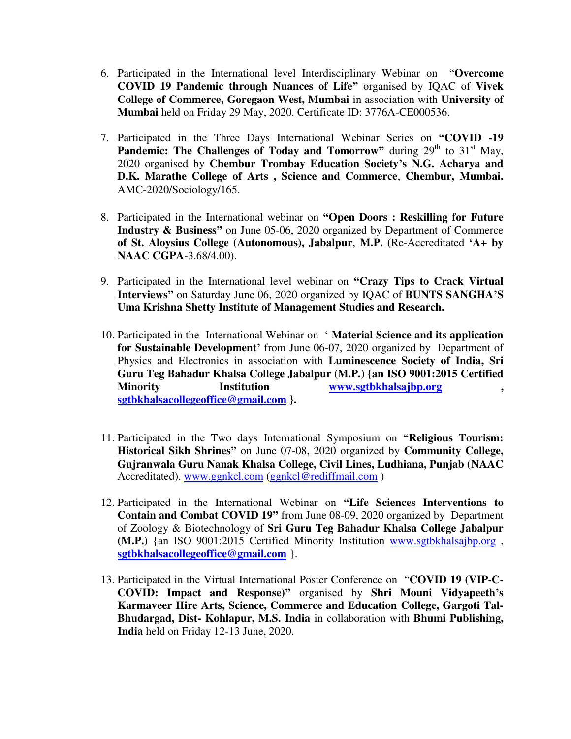- 6. Participated in the International level Interdisciplinary Webinar on "**Overcome COVID 19 Pandemic through Nuances of Life"** organised by IQAC of **Vivek College of Commerce, Goregaon West, Mumbai** in association with **University of Mumbai** held on Friday 29 May, 2020. Certificate ID: 3776A-CE000536.
- 7. Participated in the Three Days International Webinar Series on **"COVID -19 Pandemic: The Challenges of Today and Tomorrow" during**  $29<sup>th</sup>$  **to**  $31<sup>st</sup>$  **May,** 2020 organised by **Chembur Trombay Education Society's N.G. Acharya and D.K. Marathe College of Arts , Science and Commerce**, **Chembur, Mumbai.** AMC-2020/Sociology/165.
- 8. Participated in the International webinar on **"Open Doors : Reskilling for Future Industry & Business"** on June 05-06, 2020 organized by Department of Commerce **of St. Aloysius College (Autonomous), Jabalpur**, **M.P. (**Re-Accreditated **'A+ by NAAC CGPA**-3.68/4.00).
- 9. Participated in the International level webinar on **"Crazy Tips to Crack Virtual Interviews"** on Saturday June 06, 2020 organized by IQAC of **BUNTS SANGHA'S Uma Krishna Shetty Institute of Management Studies and Research.**
- 10. Participated in the International Webinar on ' **Material Science and its application for Sustainable Development'** from June 06-07, 2020 organized by Department of Physics and Electronics in association with **Luminescence Society of India, Sri Guru Teg Bahadur Khalsa College Jabalpur (M.P.) {an ISO 9001:2015 Certified Minority Institution [www.sgtbkhalsajbp.org](http://www.sgtbkhalsajbp.org/) , [sgtbkhalsacollegeoffice@gmail.com](mailto:sgtbkhalsacollegeoffice@gmail.com) }.**
- 11. Participated in the Two days International Symposium on **"Religious Tourism: Historical Sikh Shrines"** on June 07-08, 2020 organized by **Community College, Gujranwala Guru Nanak Khalsa College, Civil Lines, Ludhiana, Punjab (NAAC**  Accreditated). [www.ggnkcl.com](http://www.ggnkcl.com/) [\(ggnkcl@rediffmail.com](mailto:ggnkcl@rediffmail.com) )
- 12. Participated in the International Webinar on **"Life Sciences Interventions to Contain and Combat COVID 19"** from June 08-09, 2020 organized by Department of Zoology & Biotechnology of **Sri Guru Teg Bahadur Khalsa College Jabalpur (M.P.)** {an ISO 9001:2015 Certified Minority Institution [www.sgtbkhalsajbp.org](http://www.sgtbkhalsajbp.org/) , **[sgtbkhalsacollegeoffice@gmail.com](mailto:sgtbkhalsacollegeoffice@gmail.com)** }.
- 13. Participated in the Virtual International Poster Conference on "**COVID 19 (VIP-C-COVID: Impact and Response)"** organised by **Shri Mouni Vidyapeeth's Karmaveer Hire Arts, Science, Commerce and Education College, Gargoti Tal-Bhudargad, Dist- Kohlapur, M.S. India** in collaboration with **Bhumi Publishing, India** held on Friday 12-13 June, 2020.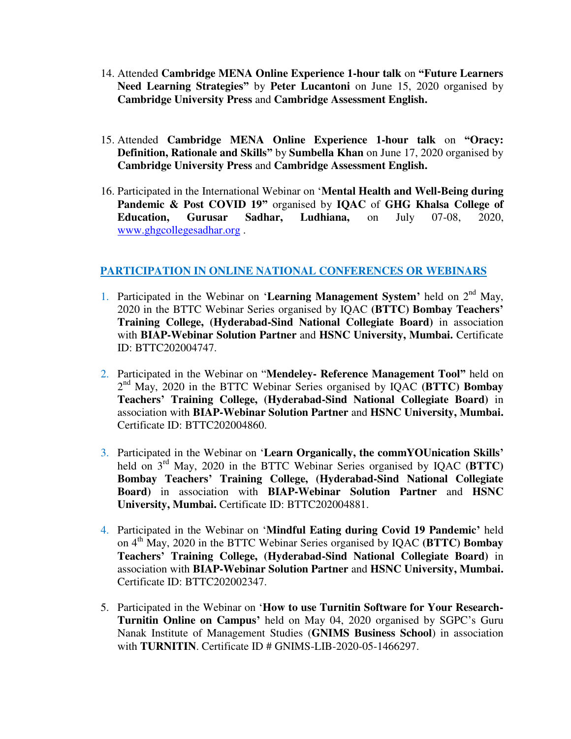- 14. Attended **Cambridge MENA Online Experience 1-hour talk** on **"Future Learners Need Learning Strategies"** by **Peter Lucantoni** on June 15, 2020 organised by **Cambridge University Press** and **Cambridge Assessment English.**
- 15. Attended **Cambridge MENA Online Experience 1-hour talk** on **"Oracy: Definition, Rationale and Skills"** by **Sumbella Khan** on June 17, 2020 organised by **Cambridge University Press** and **Cambridge Assessment English.**
- 16. Participated in the International Webinar on '**Mental Health and Well-Being during Pandemic & Post COVID 19"** organised by **IQAC** of **GHG Khalsa College of Education, Gurusar Sadhar, Ludhiana,** on July 07-08, 2020, [www.ghgcollegesadhar.org](http://www.ghgcollegesadhar.org/) .

#### **PARTICIPATION IN ONLINE NATIONAL CONFERENCES OR WEBINARS**

- 1. Participated in the Webinar on '**Learning Management System'** held on 2nd May, 2020 in the BTTC Webinar Series organised by IQAC **(BTTC) Bombay Teachers' Training College, (Hyderabad-Sind National Collegiate Board)** in association with **BIAP-Webinar Solution Partner** and **HSNC University, Mumbai.** Certificate ID: BTTC202004747.
- 2. Participated in the Webinar on "**Mendeley- Reference Management Tool"** held on 2 nd May, 2020 in the BTTC Webinar Series organised by IQAC **(BTTC) Bombay Teachers' Training College, (Hyderabad-Sind National Collegiate Board)** in association with **BIAP-Webinar Solution Partner** and **HSNC University, Mumbai.**  Certificate ID: BTTC202004860.
- 3. Participated in the Webinar on '**Learn Organically, the commYOUnication Skills'** held on 3<sup>rd</sup> May, 2020 in the BTTC Webinar Series organised by IQAC **(BTTC) Bombay Teachers' Training College, (Hyderabad-Sind National Collegiate Board)** in association with **BIAP-Webinar Solution Partner** and **HSNC University, Mumbai.** Certificate ID: BTTC202004881.
- 4. Participated in the Webinar on '**Mindful Eating during Covid 19 Pandemic'** held on 4th May, 2020 in the BTTC Webinar Series organised by IQAC **(BTTC) Bombay Teachers' Training College, (Hyderabad-Sind National Collegiate Board)** in association with **BIAP-Webinar Solution Partner** and **HSNC University, Mumbai.**  Certificate ID: BTTC202002347.
- 5. Participated in the Webinar on '**How to use Turnitin Software for Your Research-Turnitin Online on Campus'** held on May 04, 2020 organised by SGPC's Guru Nanak Institute of Management Studies (**GNIMS Business School**) in association with **TURNITIN**. Certificate ID # GNIMS-LIB-2020-05-1466297.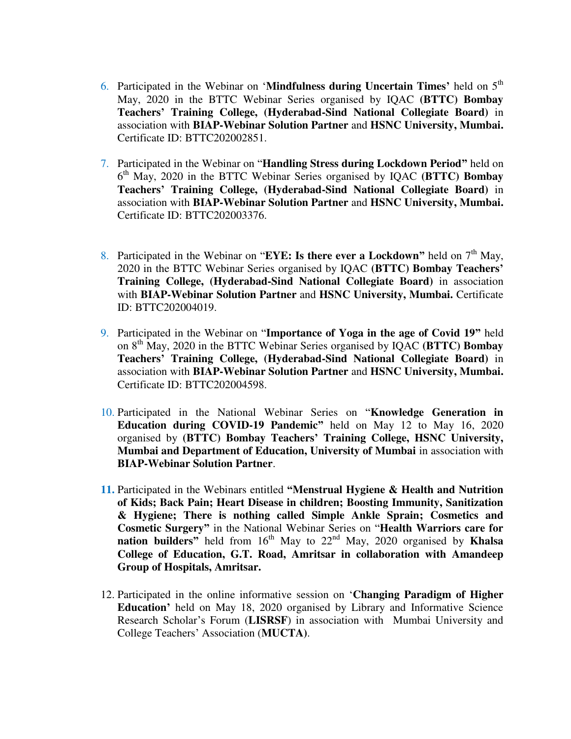- 6. Participated in the Webinar on '**Mindfulness during Uncertain Times'** held on 5th May, 2020 in the BTTC Webinar Series organised by IQAC **(BTTC) Bombay Teachers' Training College, (Hyderabad-Sind National Collegiate Board)** in association with **BIAP-Webinar Solution Partner** and **HSNC University, Mumbai.**  Certificate ID: BTTC202002851.
- 7. Participated in the Webinar on "**Handling Stress during Lockdown Period"** held on 6 th May, 2020 in the BTTC Webinar Series organised by IQAC **(BTTC) Bombay Teachers' Training College, (Hyderabad-Sind National Collegiate Board)** in association with **BIAP-Webinar Solution Partner** and **HSNC University, Mumbai.**  Certificate ID: BTTC202003376.
- 8. Participated in the Webinar on "EYE: Is there ever a Lockdown" held on  $7<sup>th</sup>$  May, 2020 in the BTTC Webinar Series organised by IQAC **(BTTC) Bombay Teachers' Training College, (Hyderabad-Sind National Collegiate Board)** in association with **BIAP-Webinar Solution Partner** and **HSNC University, Mumbai.** Certificate ID: BTTC202004019.
- 9. Participated in the Webinar on "**Importance of Yoga in the age of Covid 19"** held on 8th May, 2020 in the BTTC Webinar Series organised by IQAC **(BTTC) Bombay Teachers' Training College, (Hyderabad-Sind National Collegiate Board)** in association with **BIAP-Webinar Solution Partner** and **HSNC University, Mumbai.**  Certificate ID: BTTC202004598.
- 10. Participated in the National Webinar Series on "**Knowledge Generation in Education during COVID-19 Pandemic"** held on May 12 to May 16, 2020 organised by **(BTTC) Bombay Teachers' Training College, HSNC University, Mumbai and Department of Education, University of Mumbai** in association with **BIAP-Webinar Solution Partner**.
- **11.** Participated in the Webinars entitled **"Menstrual Hygiene & Health and Nutrition of Kids; Back Pain; Heart Disease in children; Boosting Immunity, Sanitization & Hygiene; There is nothing called Simple Ankle Sprain; Cosmetics and Cosmetic Surgery"** in the National Webinar Series on "**Health Warriors care for nation builders**<sup>*n*</sup> held from 16<sup>th</sup> May to 22<sup>nd</sup> May, 2020 organised by **Khalsa College of Education, G.T. Road, Amritsar in collaboration with Amandeep Group of Hospitals, Amritsar.**
- 12. Participated in the online informative session on '**Changing Paradigm of Higher Education'** held on May 18, 2020 organised by Library and Informative Science Research Scholar's Forum (**LISRSF**) in association with Mumbai University and College Teachers' Association (**MUCTA)**.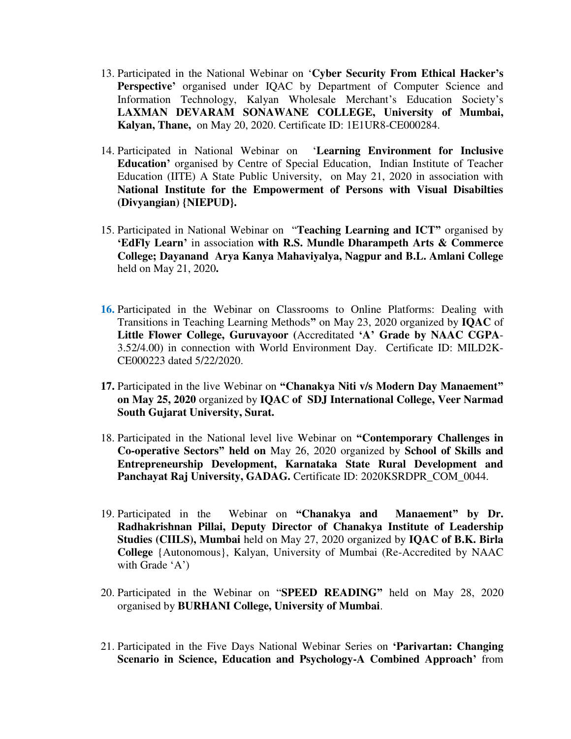- 13. Participated in the National Webinar on '**Cyber Security From Ethical Hacker's Perspective'** organised under IQAC by Department of Computer Science and Information Technology, Kalyan Wholesale Merchant's Education Society's **LAXMAN DEVARAM SONAWANE COLLEGE, University of Mumbai, Kalyan, Thane,** on May 20, 2020. Certificate ID: 1E1UR8-CE000284.
- 14. Participated in National Webinar on '**Learning Environment for Inclusive Education'** organised by Centre of Special Education, Indian Institute of Teacher Education (IITE) A State Public University, on May 21, 2020 in association with **National Institute for the Empowerment of Persons with Visual Disabilties (Divyangian) {NIEPUD}.**
- 15. Participated in National Webinar on "**Teaching Learning and ICT"** organised by **'EdFly Learn'** in association **with R.S. Mundle Dharampeth Arts & Commerce College; Dayanand Arya Kanya Mahaviyalya, Nagpur and B.L. Amlani College**  held on May 21, 2020**.**
- **16.** Participated in the Webinar on Classrooms to Online Platforms: Dealing with Transitions in Teaching Learning Methods**"** on May 23, 2020 organized by **IQAC** of **Little Flower College, Guruvayoor (**Accreditated **'A' Grade by NAAC CGPA**-3.52/4.00) in connection with World Environment Day. Certificate ID: MILD2K-CE000223 dated 5/22/2020.
- **17.** Participated in the live Webinar on **"Chanakya Niti v/s Modern Day Manaement" on May 25, 2020** organized by **IQAC of SDJ International College, Veer Narmad South Gujarat University, Surat.**
- 18. Participated in the National level live Webinar on **"Contemporary Challenges in Co-operative Sectors" held on** May 26, 2020 organized by **School of Skills and Entrepreneurship Development, Karnataka State Rural Development and**  Panchayat Raj University, GADAG. Certificate ID: 2020KSRDPR\_COM\_0044.
- 19. Participated in the Webinar on **"Chanakya and Manaement" by Dr. Radhakrishnan Pillai, Deputy Director of Chanakya Institute of Leadership Studies (CIILS), Mumbai** held on May 27, 2020 organized by **IQAC of B.K. Birla College** {Autonomous}, Kalyan, University of Mumbai (Re-Accredited by NAAC with Grade 'A')
- 20. Participated in the Webinar on "**SPEED READING"** held on May 28, 2020 organised by **BURHANI College, University of Mumbai**.
- 21. Participated in the Five Days National Webinar Series on **'Parivartan: Changing Scenario in Science, Education and Psychology-A Combined Approach'** from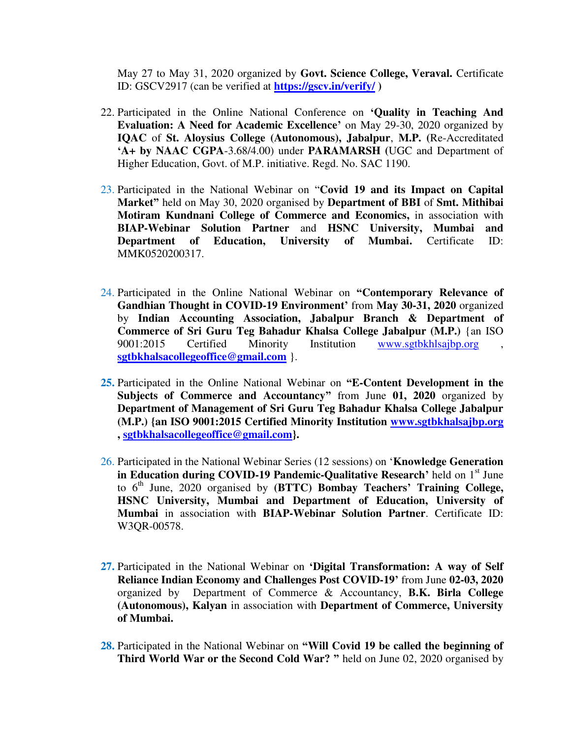May 27 to May 31, 2020 organized by **Govt. Science College, Veraval.** Certificate ID: GSCV2917 (can be verified at **<https://gscv.in/verify/>)**

- 22. Participated in the Online National Conference on **'Quality in Teaching And Evaluation: A Need for Academic Excellence'** on May 29-30, 2020 organized by **IQAC** of **St. Aloysius College (Autonomous), Jabalpur**, **M.P. (**Re-Accreditated **'A+ by NAAC CGPA**-3.68/4.00) under **PARAMARSH (**UGC and Department of Higher Education, Govt. of M.P. initiative. Regd. No. SAC 1190.
- 23. Participated in the National Webinar on "**Covid 19 and its Impact on Capital Market"** held on May 30, 2020 organised by **Department of BBI** of **Smt. Mithibai Motiram Kundnani College of Commerce and Economics,** in association with **BIAP-Webinar Solution Partner** and **HSNC University, Mumbai and Department of Education, University of Mumbai.** Certificate ID: MMK0520200317.
- 24. Participated in the Online National Webinar on **"Contemporary Relevance of Gandhian Thought in COVID-19 Environment'** from **May 30-31, 2020** organized by **Indian Accounting Association, Jabalpur Branch & Department of Commerce of Sri Guru Teg Bahadur Khalsa College Jabalpur (M.P.)** {an ISO 9001:2015 Certified Minority Institution [www.sgtbkhlsajbp.org](http://www.sgtbkhlsajbp.org/), **[sgtbkhalsacollegeoffice@gmail.com](mailto:sgtbkhalsacollegeoffice@gmail.com)** }.
- **25.** Participated in the Online National Webinar on **"E-Content Development in the Subjects of Commerce and Accountancy"** from June **01, 2020** organized by **Department of Management of Sri Guru Teg Bahadur Khalsa College Jabalpur (M.P.) {an ISO 9001:2015 Certified Minority Institution [www.sgtbkhalsajbp.org](http://www.sgtbkhalsajbp.org/) , [sgtbkhalsacollegeoffice@gmail.com}](mailto:sgtbkhalsacollegeoffice@gmail.com).**
- 26. Participated in the National Webinar Series (12 sessions) on '**Knowledge Generation in Education during COVID-19 Pandemic-Qualitative Research'** held on 1<sup>st</sup> June to 6th June, 2020 organised by **(BTTC) Bombay Teachers' Training College, HSNC University, Mumbai and Department of Education, University of Mumbai** in association with **BIAP-Webinar Solution Partner**. Certificate ID: W3QR-00578.
- **27.** Participated in the National Webinar on **'Digital Transformation: A way of Self Reliance Indian Economy and Challenges Post COVID-19'** from June **02-03, 2020** organized by Department of Commerce & Accountancy, **B.K. Birla College (Autonomous), Kalyan** in association with **Department of Commerce, University of Mumbai.**
- **28.** Participated in the National Webinar on **"Will Covid 19 be called the beginning of Third World War or the Second Cold War? "** held on June 02, 2020 organised by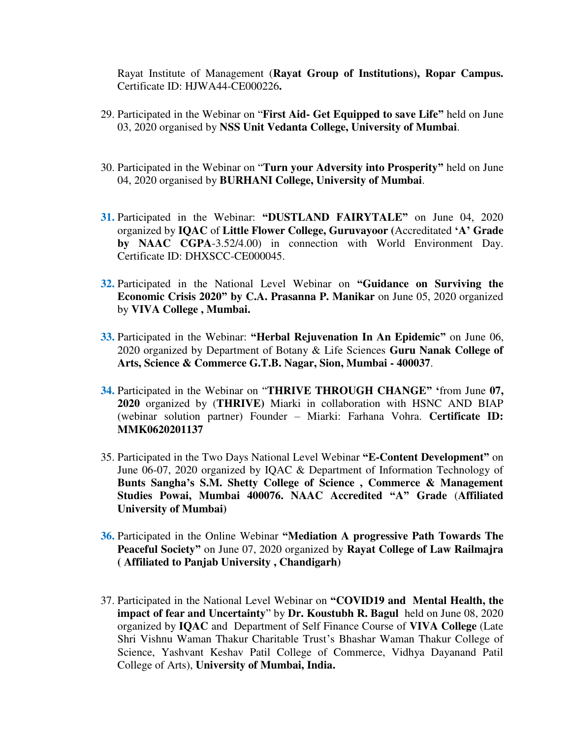Rayat Institute of Management (**Rayat Group of Institutions), Ropar Campus.**  Certificate ID: HJWA44-CE000226**.**

- 29. Participated in the Webinar on "**First Aid- Get Equipped to save Life"** held on June 03, 2020 organised by **NSS Unit Vedanta College, University of Mumbai**.
- 30. Participated in the Webinar on "**Turn your Adversity into Prosperity"** held on June 04, 2020 organised by **BURHANI College, University of Mumbai**.
- **31.** Participated in the Webinar: **"DUSTLAND FAIRYTALE"** on June 04, 2020 organized by **IQAC** of **Little Flower College, Guruvayoor (**Accreditated **'A' Grade by NAAC CGPA**-3.52/4.00) in connection with World Environment Day. Certificate ID: DHXSCC-CE000045.
- **32.** Participated in the National Level Webinar on **"Guidance on Surviving the Economic Crisis 2020" by C.A. Prasanna P. Manikar** on June 05, 2020 organized by **VIVA College , Mumbai.**
- **33.** Participated in the Webinar: **"Herbal Rejuvenation In An Epidemic"** on June 06, 2020 organized by Department of Botany & Life Sciences **Guru Nanak College of Arts, Science & Commerce G.T.B. Nagar, Sion, Mumbai - 400037**.
- **34.** Participated in the Webinar on "**THRIVE THROUGH CHANGE" '**from June **07, 2020** organized by (**THRIVE)** Miarki in collaboration with HSNC AND BIAP (webinar solution partner) Founder – Miarki: Farhana Vohra. **Certificate ID: MMK0620201137**
- 35. Participated in the Two Days National Level Webinar **"E-Content Development"** on June 06-07, 2020 organized by IQAC & Department of Information Technology of **Bunts Sangha's S.M. Shetty College of Science , Commerce & Management Studies Powai, Mumbai 400076. NAAC Accredited "A" Grade** (**Affiliated University of Mumbai)**
- **36.** Participated in the Online Webinar **"Mediation A progressive Path Towards The Peaceful Society"** on June 07, 2020 organized by **Rayat College of Law Railmajra ( Affiliated to Panjab University , Chandigarh)**
- 37. Participated in the National Level Webinar on **"COVID19 and Mental Health, the impact of fear and Uncertainty**" by **Dr. Koustubh R. Bagul** held on June 08, 2020 organized by **IQAC** and Department of Self Finance Course of **VIVA College** (Late Shri Vishnu Waman Thakur Charitable Trust's Bhashar Waman Thakur College of Science, Yashvant Keshav Patil College of Commerce, Vidhya Dayanand Patil College of Arts), **University of Mumbai, India.**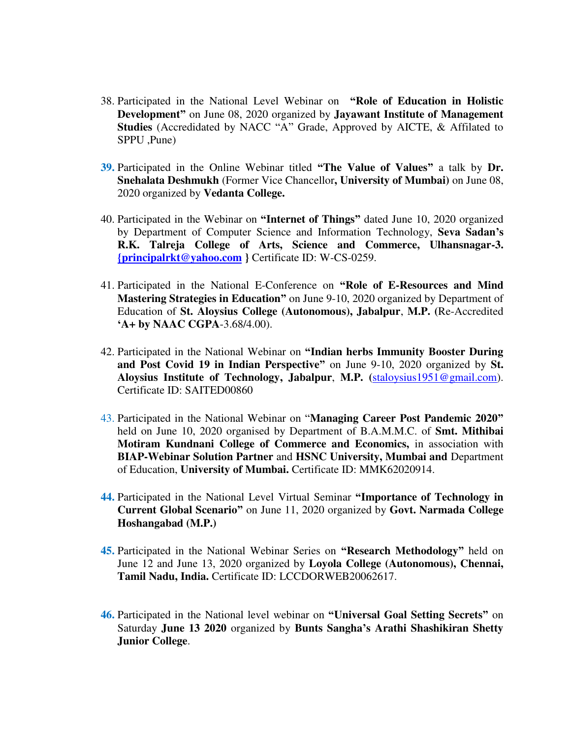- 38. Participated in the National Level Webinar on **"Role of Education in Holistic Development"** on June 08, 2020 organized by **Jayawant Institute of Management Studies** (Accredidated by NACC "A" Grade, Approved by AICTE, & Affilated to SPPU ,Pune)
- **39.** Participated in the Online Webinar titled **"The Value of Values"** a talk by **Dr. Snehalata Deshmukh** (Former Vice Chancellor**, University of Mumbai)** on June 08, 2020 organized by **Vedanta College.**
- 40. Participated in the Webinar on **"Internet of Things"** dated June 10, 2020 organized by Department of Computer Science and Information Technology, **Seva Sadan's R.K. Talreja College of Arts, Science and Commerce, Ulhansnagar-3. [{principalrkt@yahoo.com](mailto:%7bprincipalrkt@yahoo.com) }** Certificate ID: W-CS-0259.
- 41. Participated in the National E-Conference on **"Role of E-Resources and Mind Mastering Strategies in Education"** on June 9-10, 2020 organized by Department of Education of **St. Aloysius College (Autonomous), Jabalpur**, **M.P. (**Re-Accredited **'A+ by NAAC CGPA**-3.68/4.00).
- 42. Participated in the National Webinar on **"Indian herbs Immunity Booster During and Post Covid 19 in Indian Perspective"** on June 9-10, 2020 organized by **St. Aloysius Institute of Technology, Jabalpur**, **M.P. (**[staloysius1951@gmail.com\)](mailto:staloysius1951@gmail.com). Certificate ID: SAITED00860
- 43. Participated in the National Webinar on "**Managing Career Post Pandemic 2020"** held on June 10, 2020 organised by Department of B.A.M.M.C. of **Smt. Mithibai Motiram Kundnani College of Commerce and Economics,** in association with **BIAP-Webinar Solution Partner** and **HSNC University, Mumbai and** Department of Education, **University of Mumbai.** Certificate ID: MMK62020914.
- **44.** Participated in the National Level Virtual Seminar **"Importance of Technology in Current Global Scenario"** on June 11, 2020 organized by **Govt. Narmada College Hoshangabad (M.P.)**
- **45.** Participated in the National Webinar Series on **"Research Methodology"** held on June 12 and June 13, 2020 organized by **Loyola College (Autonomous), Chennai, Tamil Nadu, India.** Certificate ID: LCCDORWEB20062617.
- **46.** Participated in the National level webinar on **"Universal Goal Setting Secrets"** on Saturday **June 13 2020** organized by **Bunts Sangha's Arathi Shashikiran Shetty Junior College**.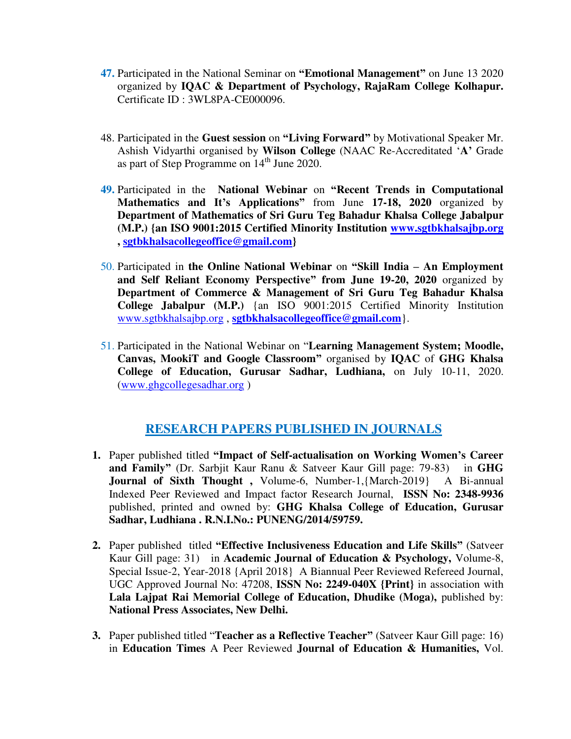- **47.** Participated in the National Seminar on **"Emotional Management"** on June 13 2020 organized by **IQAC & Department of Psychology, RajaRam College Kolhapur.**  Certificate ID : 3WL8PA-CE000096.
- 48. Participated in the **Guest session** on **"Living Forward"** by Motivational Speaker Mr. Ashish Vidyarthi organised by **Wilson College** (NAAC Re-Accreditated '**A'** Grade as part of Step Programme on  $14<sup>th</sup>$  June 2020.
- **49.** Participated in the **National Webinar** on **"Recent Trends in Computational Mathematics and It's Applications"** from June **17-18, 2020** organized by **Department of Mathematics of Sri Guru Teg Bahadur Khalsa College Jabalpur (M.P.) {an ISO 9001:2015 Certified Minority Institution [www.sgtbkhalsajbp.org](http://www.sgtbkhalsajbp.org/) , [sgtbkhalsacollegeoffice@gmail.com}](mailto:sgtbkhalsacollegeoffice@gmail.com)**
- 50. Participated in **the Online National Webinar** on **"Skill India – An Employment and Self Reliant Economy Perspective" from June 19-20, 2020** organized by **Department of Commerce & Management of Sri Guru Teg Bahadur Khalsa College Jabalpur (M.P.)** {an ISO 9001:2015 Certified Minority Institution [www.sgtbkhalsajbp.org](http://www.sgtbkhalsajbp.org/) , **[sgtbkhalsacollegeoffice@gmail.com](mailto:sgtbkhalsacollegeoffice@gmail.com)**}.
- 51. Participated in the National Webinar on "**Learning Management System; Moodle, Canvas, MookiT and Google Classroom"** organised by **IQAC** of **GHG Khalsa College of Education, Gurusar Sadhar, Ludhiana,** on July 10-11, 2020. [\(www.ghgcollegesadhar.org](http://www.ghgcollegesadhar.org/) )

## **RESEARCH PAPERS PUBLISHED IN JOURNALS**

- **1.** Paper published titled **"Impact of Self-actualisation on Working Women's Career and Family"** (Dr. Sarbjit Kaur Ranu & Satveer Kaur Gill page: 79-83)in **GHG Journal of Sixth Thought ,** Volume-6, Number-1,{March-2019} A Bi-annual Indexed Peer Reviewed and Impact factor Research Journal, **ISSN No: 2348-9936**  published, printed and owned by: **GHG Khalsa College of Education, Gurusar Sadhar, Ludhiana . R.N.I.No.: PUNENG/2014/59759.**
- **2.** Paper published titled **"Effective Inclusiveness Education and Life Skills"** (Satveer Kaur Gill page: 31)in **Academic Journal of Education & Psychology,** Volume-8, Special Issue-2, Year-2018 {April 2018} A Biannual Peer Reviewed Refereed Journal, UGC Approved Journal No: 47208, **ISSN No: 2249-040X {Print}** in association with Lala Lajpat Rai Memorial College of Education, Dhudike (Moga), published by: **National Press Associates, New Delhi.**
- **3.** Paper published titled "**Teacher as a Reflective Teacher"** (Satveer Kaur Gill page: 16) in **Education Times** A Peer Reviewed **Journal of Education & Humanities,** Vol.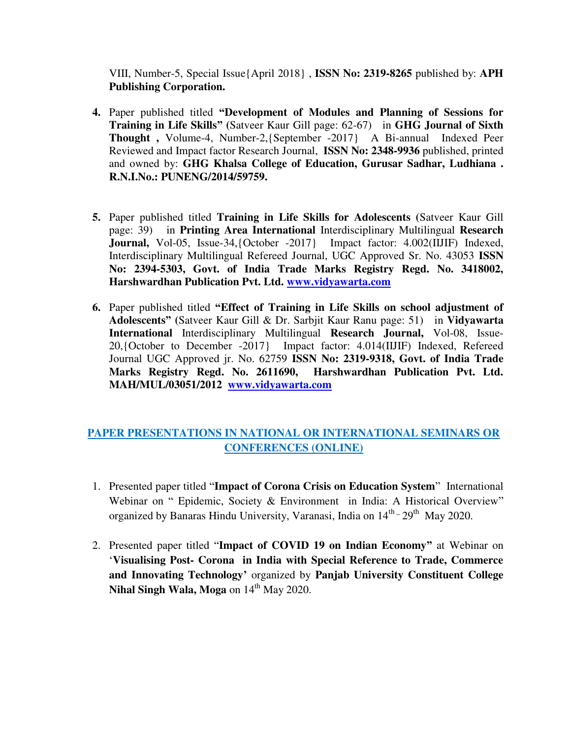VIII, Number-5, Special Issue{April 2018} , **ISSN No: 2319-8265** published by: **APH Publishing Corporation.** 

- **4.** Paper published titled **"Development of Modules and Planning of Sessions for Training in Life Skills" (**Satveer Kaur Gill page: 62-67)in **GHG Journal of Sixth Thought ,** Volume-4, Number-2,{September -2017} A Bi-annual Indexed Peer Reviewed and Impact factor Research Journal, **ISSN No: 2348-9936** published, printed and owned by: **GHG Khalsa College of Education, Gurusar Sadhar, Ludhiana . R.N.I.No.: PUNENG/2014/59759.**
- **5.** Paper published titled **Training in Life Skills for Adolescents (**Satveer Kaur Gill page: 39)in **Printing Area International** Interdisciplinary Multilingual **Research Journal,** Vol-05, Issue-34,{October -2017} Impact factor: 4.002(IIJIF) Indexed, Interdisciplinary Multilingual Refereed Journal, UGC Approved Sr. No. 43053 **ISSN No: 2394-5303, Govt. of India Trade Marks Registry Regd. No. 3418002, Harshwardhan Publication Pvt. Ltd. [www.vidyawarta.com](http://www.vidyawarta.com/)**
- **6.** Paper published titled **"Effect of Training in Life Skills on school adjustment of Adolescents" (**Satveer Kaur Gill & Dr. Sarbjit Kaur Ranu page: 51)in **Vidyawarta International** Interdisciplinary Multilingual **Research Journal,** Vol-08, Issue-20,{October to December -2017} Impact factor: 4.014(IIJIF) Indexed, Refereed Journal UGC Approved jr. No. 62759 **ISSN No: 2319-9318, Govt. of India Trade Marks Registry Regd. No. 2611690, Harshwardhan Publication Pvt. Ltd. MAH/MUL/03051/2012 [www.vidyawarta.com](http://www.vidyawarta.com/)**

## **PAPER PRESENTATIONS IN NATIONAL OR INTERNATIONAL SEMINARS OR CONFERENCES (ONLINE)**

- 1. Presented paper titled "**Impact of Corona Crisis on Education System**" International Webinar on " Epidemic, Society & Environment in India: A Historical Overview" organized by Banaras Hindu University, Varanasi, India on  $14<sup>th</sup> - 29<sup>th</sup>$  May 2020.
- 2. Presented paper titled "**Impact of COVID 19 on Indian Economy"** at Webinar on '**Visualising Post- Corona in India with Special Reference to Trade, Commerce and Innovating Technology'** organized by **Panjab University Constituent College Nihal Singh Wala, Moga** on  $14<sup>th</sup>$  May 2020.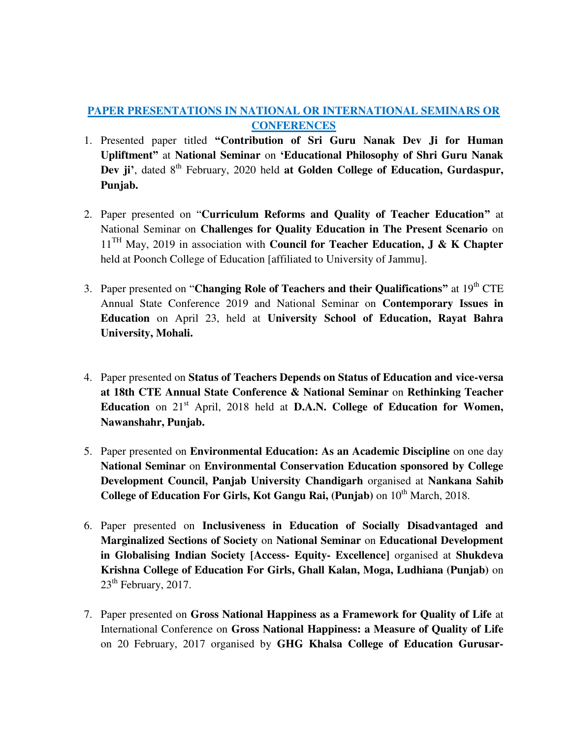## **PAPER PRESENTATIONS IN NATIONAL OR INTERNATIONAL SEMINARS OR CONFERENCES**

- 1. Presented paper titled **"Contribution of Sri Guru Nanak Dev Ji for Human Upliftment"** at **National Seminar** on **'Educational Philosophy of Shri Guru Nanak Dev ji**<sup> $\prime$ </sup>, dated 8<sup>th</sup> February, 2020 held **at Golden College of Education, Gurdaspur, Punjab.**
- 2. Paper presented on "**Curriculum Reforms and Quality of Teacher Education"** at National Seminar on **Challenges for Quality Education in The Present Scenario** on 11<sup>TH</sup> May, 2019 in association with **Council for Teacher Education, J & K Chapter** held at Poonch College of Education [affiliated to University of Jammu].
- 3. Paper presented on "**Changing Role of Teachers and their Qualifications"** at 19th CTE Annual State Conference 2019 and National Seminar on **Contemporary Issues in Education** on April 23, held at **University School of Education, Rayat Bahra University, Mohali.**
- 4. Paper presented on **Status of Teachers Depends on Status of Education and vice-versa at 18th CTE Annual State Conference & National Seminar** on **Rethinking Teacher Education** on 21<sup>st</sup> April, 2018 held at **D.A.N. College of Education for Women, Nawanshahr, Punjab.**
- 5. Paper presented on **Environmental Education: As an Academic Discipline** on one day **National Seminar** on **Environmental Conservation Education sponsored by College Development Council, Panjab University Chandigarh** organised at **Nankana Sahib College of Education For Girls, Kot Gangu Rai, (Punjab)** on  $10^{th}$  March, 2018.
- 6. Paper presented on **Inclusiveness in Education of Socially Disadvantaged and Marginalized Sections of Society** on **National Seminar** on **Educational Development in Globalising Indian Society [Access- Equity- Excellence]** organised at **Shukdeva Krishna College of Education For Girls, Ghall Kalan, Moga, Ludhiana (Punjab)** on  $23<sup>th</sup>$  February, 2017.
- 7. Paper presented on **Gross National Happiness as a Framework for Quality of Life** at International Conference on **Gross National Happiness: a Measure of Quality of Life**  on 20 February, 2017 organised by **GHG Khalsa College of Education Gurusar-**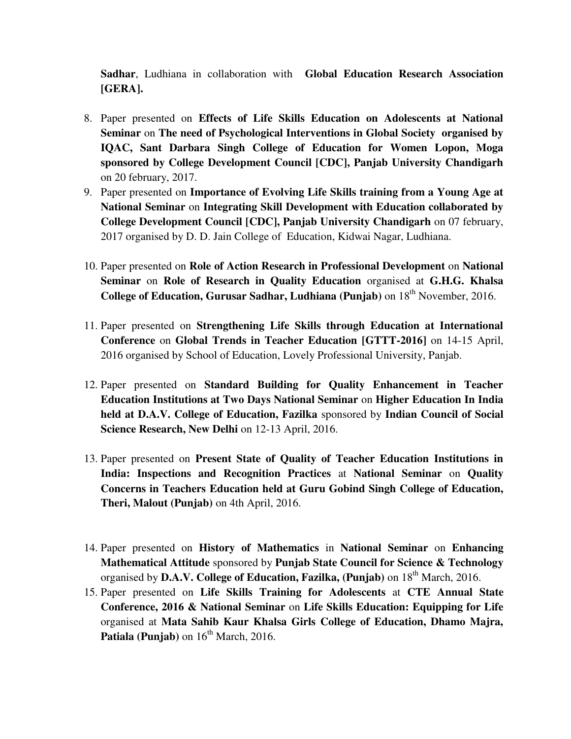**Sadhar**, Ludhiana in collaboration with **Global Education Research Association [GERA].** 

- 8. Paper presented on **Effects of Life Skills Education on Adolescents at National Seminar** on **The need of Psychological Interventions in Global Society organised by IQAC, Sant Darbara Singh College of Education for Women Lopon, Moga sponsored by College Development Council [CDC], Panjab University Chandigarh** on 20 february, 2017.
- 9. Paper presented on **Importance of Evolving Life Skills training from a Young Age at National Seminar** on **Integrating Skill Development with Education collaborated by College Development Council [CDC], Panjab University Chandigarh** on 07 february, 2017 organised by D. D. Jain College of Education, Kidwai Nagar, Ludhiana.
- 10. Paper presented on **Role of Action Research in Professional Development** on **National Seminar** on **Role of Research in Quality Education** organised at **G.H.G. Khalsa College of Education, Gurusar Sadhar, Ludhiana (Punjab)** on 18<sup>th</sup> November, 2016.
- 11. Paper presented on **Strengthening Life Skills through Education at International Conference** on **Global Trends in Teacher Education [GTTT-2016]** on 14-15 April, 2016 organised by School of Education, Lovely Professional University, Panjab.
- 12. Paper presented on **Standard Building for Quality Enhancement in Teacher Education Institutions at Two Days National Seminar** on **Higher Education In India held at D.A.V. College of Education, Fazilka** sponsored by **Indian Council of Social Science Research, New Delhi** on 12-13 April, 2016.
- 13. Paper presented on **Present State of Quality of Teacher Education Institutions in India: Inspections and Recognition Practices** at **National Seminar** on **Quality Concerns in Teachers Education held at Guru Gobind Singh College of Education, Theri, Malout (Punjab)** on 4th April, 2016.
- 14. Paper presented on **History of Mathematics** in **National Seminar** on **Enhancing Mathematical Attitude** sponsored by **Punjab State Council for Science & Technology**  organised by **D.A.V. College of Education, Fazilka, (Punjab)** on 18th March, 2016.
- 15. Paper presented on **Life Skills Training for Adolescents** at **CTE Annual State Conference, 2016 & National Seminar** on **Life Skills Education: Equipping for Life** organised at **Mata Sahib Kaur Khalsa Girls College of Education, Dhamo Majra,**  Patiala (Punjab) on  $16<sup>th</sup>$  March, 2016.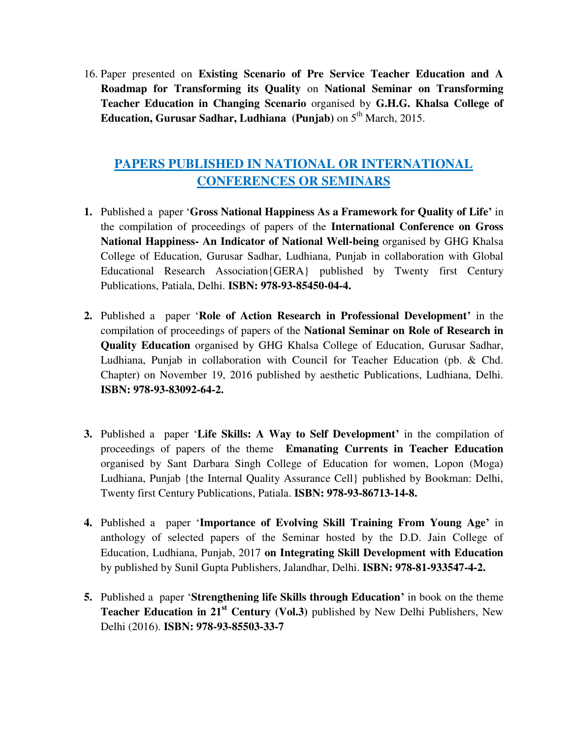16. Paper presented on **Existing Scenario of Pre Service Teacher Education and A Roadmap for Transforming its Quality** on **National Seminar on Transforming Teacher Education in Changing Scenario** organised by **G.H.G. Khalsa College of Education, Gurusar Sadhar, Ludhiana (Punjab)** on  $5<sup>th</sup>$  March, 2015.

# **PAPERS PUBLISHED IN NATIONAL OR INTERNATIONAL CONFERENCES OR SEMINARS**

- **1.** Published a paper '**Gross National Happiness As a Framework for Quality of Life'** in the compilation of proceedings of papers of the **International Conference on Gross National Happiness- An Indicator of National Well-being** organised by GHG Khalsa College of Education, Gurusar Sadhar, Ludhiana, Punjab in collaboration with Global Educational Research Association{GERA} published by Twenty first Century Publications, Patiala, Delhi. **ISBN: 978-93-85450-04-4.**
- **2.** Published a paper '**Role of Action Research in Professional Development'** in the compilation of proceedings of papers of the **National Seminar on Role of Research in Quality Education** organised by GHG Khalsa College of Education, Gurusar Sadhar, Ludhiana, Punjab in collaboration with Council for Teacher Education (pb. & Chd. Chapter) on November 19, 2016 published by aesthetic Publications, Ludhiana, Delhi. **ISBN: 978-93-83092-64-2.**
- **3.** Published a paper '**Life Skills: A Way to Self Development'** in the compilation of proceedings of papers of the theme **Emanating Currents in Teacher Education**  organised by Sant Darbara Singh College of Education for women, Lopon (Moga) Ludhiana, Punjab {the Internal Quality Assurance Cell} published by Bookman: Delhi, Twenty first Century Publications, Patiala. **ISBN: 978-93-86713-14-8.**
- **4.** Published a paper '**Importance of Evolving Skill Training From Young Age'** in anthology of selected papers of the Seminar hosted by the D.D. Jain College of Education, Ludhiana, Punjab, 2017 **on Integrating Skill Development with Education**  by published by Sunil Gupta Publishers, Jalandhar, Delhi. **ISBN: 978-81-933547-4-2.**
- **5.** Published a paper '**Strengthening life Skills through Education'** in book on the theme **Teacher Education in 21<sup>st</sup> Century (Vol.3)** published by New Delhi Publishers, New Delhi (2016). **ISBN: 978-93-85503-33-7**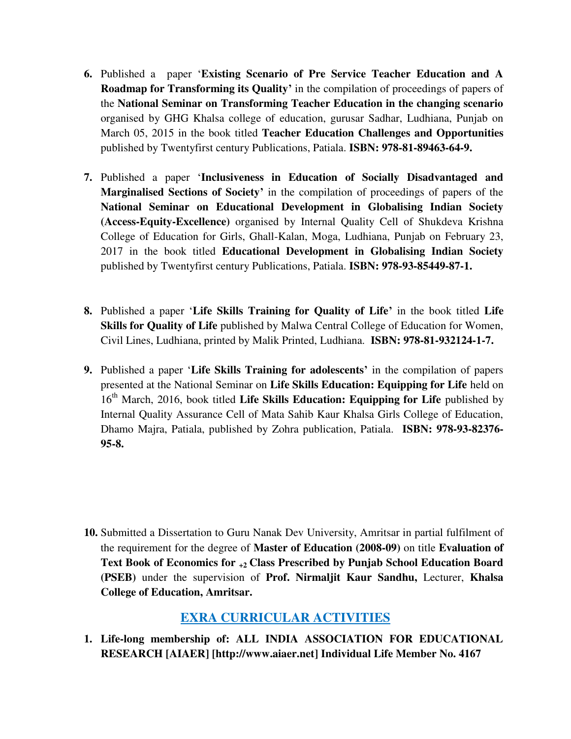- **6.** Published a paper '**Existing Scenario of Pre Service Teacher Education and A Roadmap for Transforming its Quality'** in the compilation of proceedings of papers of the **National Seminar on Transforming Teacher Education in the changing scenario**  organised by GHG Khalsa college of education, gurusar Sadhar, Ludhiana, Punjab on March 05, 2015 in the book titled **Teacher Education Challenges and Opportunities**  published by Twentyfirst century Publications, Patiala. **ISBN: 978-81-89463-64-9.**
- **7.** Published a paper '**Inclusiveness in Education of Socially Disadvantaged and Marginalised Sections of Society'** in the compilation of proceedings of papers of the **National Seminar on Educational Development in Globalising Indian Society (Access-Equity-Excellence)** organised by Internal Quality Cell of Shukdeva Krishna College of Education for Girls, Ghall-Kalan, Moga, Ludhiana, Punjab on February 23, 2017 in the book titled **Educational Development in Globalising Indian Society**  published by Twentyfirst century Publications, Patiala. **ISBN: 978-93-85449-87-1.**
- **8.** Published a paper '**Life Skills Training for Quality of Life'** in the book titled **Life Skills for Quality of Life** published by Malwa Central College of Education for Women, Civil Lines, Ludhiana, printed by Malik Printed, Ludhiana. **ISBN: 978-81-932124-1-7.**
- **9.** Published a paper '**Life Skills Training for adolescents'** in the compilation of papers presented at the National Seminar on **Life Skills Education: Equipping for Life** held on 16<sup>th</sup> March, 2016, book titled Life Skills Education: Equipping for Life published by Internal Quality Assurance Cell of Mata Sahib Kaur Khalsa Girls College of Education, Dhamo Majra, Patiala, published by Zohra publication, Patiala. **ISBN: 978-93-82376- 95-8.**

**10.** Submitted a Dissertation to Guru Nanak Dev University, Amritsar in partial fulfilment of the requirement for the degree of **Master of Education (2008-09)** on title **Evaluation of Text Book of Economics for +2 Class Prescribed by Punjab School Education Board (PSEB)** under the supervision of **Prof. Nirmaljit Kaur Sandhu,** Lecturer, **Khalsa College of Education, Amritsar.** 

## **EXRA CURRICULAR ACTIVITIES**

**1. Life-long membership of: ALL INDIA ASSOCIATION FOR EDUCATIONAL RESEARCH [AIAER] [http://www.aiaer.net] Individual Life Member No. 4167**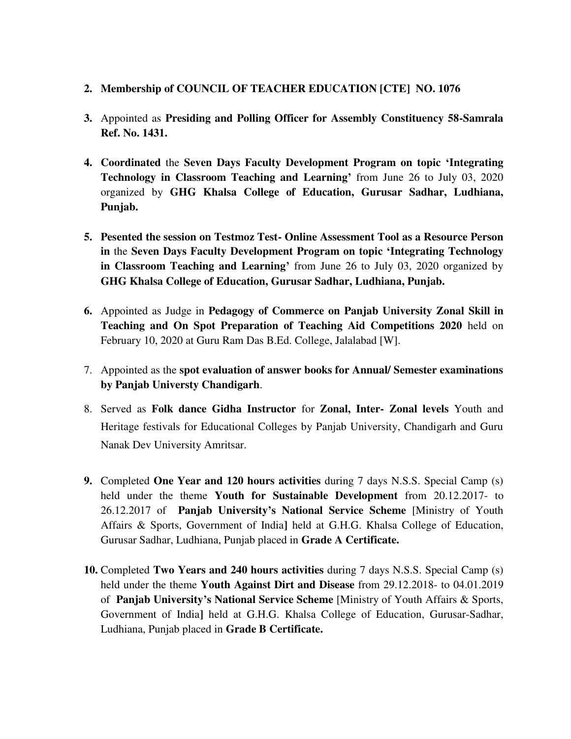#### **2. Membership of COUNCIL OF TEACHER EDUCATION [CTE] NO. 1076**

- **3.** Appointed as **Presiding and Polling Officer for Assembly Constituency 58-Samrala Ref. No. 1431.**
- **4. Coordinated** the **Seven Days Faculty Development Program on topic 'Integrating Technology in Classroom Teaching and Learning'** from June 26 to July 03, 2020 organized by **GHG Khalsa College of Education, Gurusar Sadhar, Ludhiana, Punjab.**
- **5. Pesented the session on Testmoz Test- Online Assessment Tool as a Resource Person in** the **Seven Days Faculty Development Program on topic 'Integrating Technology in Classroom Teaching and Learning'** from June 26 to July 03, 2020 organized by **GHG Khalsa College of Education, Gurusar Sadhar, Ludhiana, Punjab.**
- **6.** Appointed as Judge in **Pedagogy of Commerce on Panjab University Zonal Skill in Teaching and On Spot Preparation of Teaching Aid Competitions 2020** held on February 10, 2020 at Guru Ram Das B.Ed. College, Jalalabad [W].
- 7. Appointed as the **spot evaluation of answer books for Annual/ Semester examinations by Panjab Universty Chandigarh**.
- 8. Served as **Folk dance Gidha Instructor** for **Zonal, Inter- Zonal levels** Youth and Heritage festivals for Educational Colleges by Panjab University, Chandigarh and Guru Nanak Dev University Amritsar.
- **9.** Completed **One Year and 120 hours activities** during 7 days N.S.S. Special Camp (s) held under the theme **Youth for Sustainable Development** from 20.12.2017- to 26.12.2017 of **Panjab University's National Service Scheme** [Ministry of Youth Affairs & Sports, Government of India**]** held at G.H.G. Khalsa College of Education, Gurusar Sadhar, Ludhiana, Punjab placed in **Grade A Certificate.**
- **10.** Completed **Two Years and 240 hours activities** during 7 days N.S.S. Special Camp (s) held under the theme **Youth Against Dirt and Disease** from 29.12.2018- to 04.01.2019 of **Panjab University's National Service Scheme** [Ministry of Youth Affairs & Sports, Government of India**]** held at G.H.G. Khalsa College of Education, Gurusar-Sadhar, Ludhiana, Punjab placed in **Grade B Certificate.**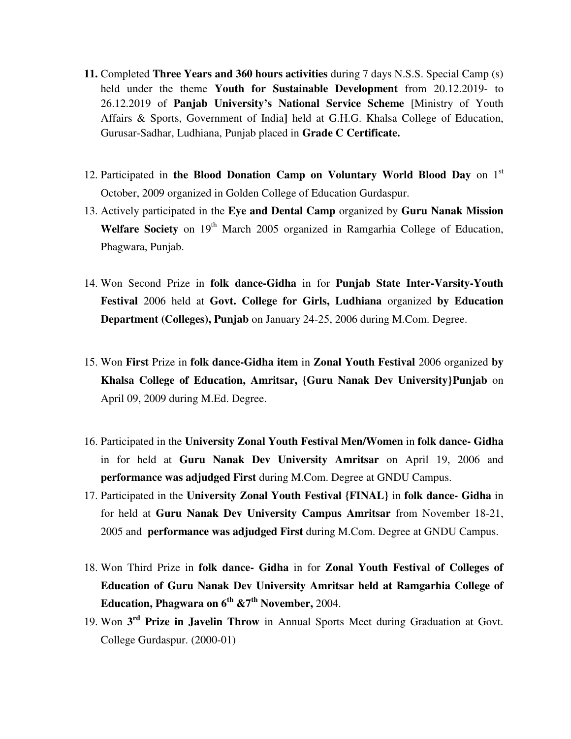- **11.** Completed **Three Years and 360 hours activities** during 7 days N.S.S. Special Camp (s) held under the theme **Youth for Sustainable Development** from 20.12.2019- to 26.12.2019 of **Panjab University's National Service Scheme** [Ministry of Youth Affairs & Sports, Government of India**]** held at G.H.G. Khalsa College of Education, Gurusar-Sadhar, Ludhiana, Punjab placed in **Grade C Certificate.**
- 12. Participated in **the Blood Donation Camp on Voluntary World Blood Day** on 1st October, 2009 organized in Golden College of Education Gurdaspur.
- 13. Actively participated in the **Eye and Dental Camp** organized by **Guru Nanak Mission**  Welfare Society on 19<sup>th</sup> March 2005 organized in Ramgarhia College of Education, Phagwara, Punjab.
- 14. Won Second Prize in **folk dance-Gidha** in for **Punjab State Inter-Varsity-Youth Festival** 2006 held at **Govt. College for Girls, Ludhiana** organized **by Education Department (Colleges), Punjab** on January 24-25, 2006 during M.Com. Degree.
- 15. Won **First** Prize in **folk dance-Gidha item** in **Zonal Youth Festival** 2006 organized **by Khalsa College of Education, Amritsar, {Guru Nanak Dev University}Punjab** on April 09, 2009 during M.Ed. Degree.
- 16. Participated in the **University Zonal Youth Festival Men/Women** in **folk dance- Gidha** in for held at **Guru Nanak Dev University Amritsar** on April 19, 2006 and **performance was adjudged First** during M.Com. Degree at GNDU Campus.
- 17. Participated in the **University Zonal Youth Festival {FINAL}** in **folk dance- Gidha** in for held at **Guru Nanak Dev University Campus Amritsar** from November 18-21, 2005 and **performance was adjudged First** during M.Com. Degree at GNDU Campus.
- 18. Won Third Prize in **folk dance- Gidha** in for **Zonal Youth Festival of Colleges of Education of Guru Nanak Dev University Amritsar held at Ramgarhia College of Education, Phagwara on 6th &7th November,** 2004.
- 19. Won **3 rd Prize in Javelin Throw** in Annual Sports Meet during Graduation at Govt. College Gurdaspur. (2000-01)